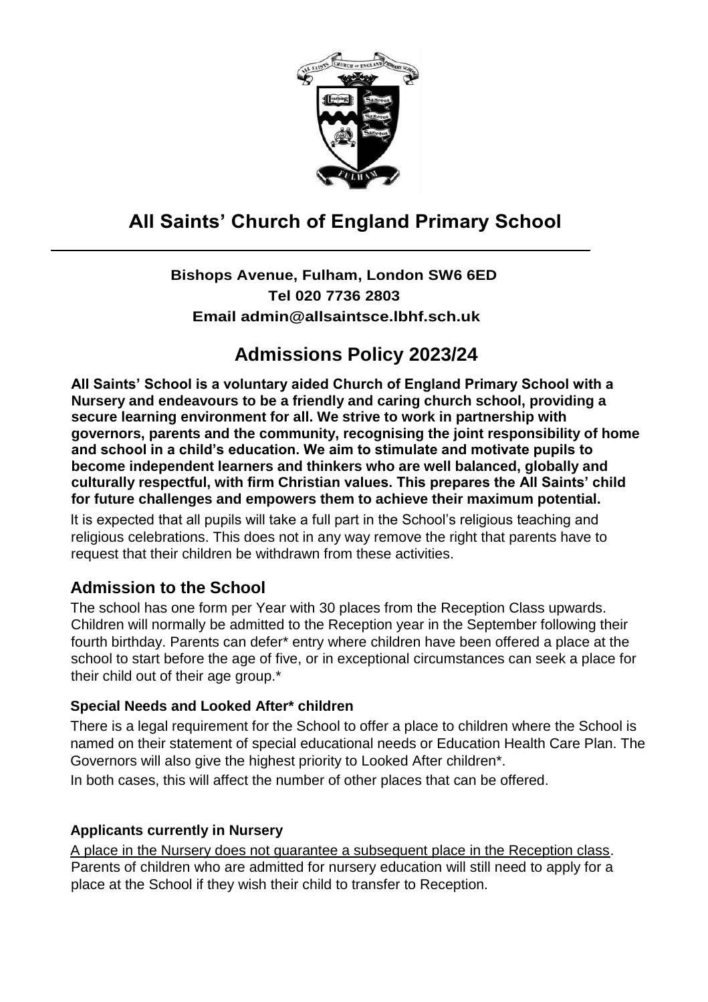

# **All Saints' Church of England Primary School**

**Bishops Avenue, Fulham, London SW6 6ED Tel 020 7736 2803 Email [admin@allsaintsce.lbhf.sch.uk](mailto:admin@allsaintsce.lbhf.sch.uk)**

## **Admissions Policy 2023/24**

**All Saints' School is a voluntary aided Church of England Primary School with a Nursery and endeavours to be a friendly and caring church school, providing a secure learning environment for all. We strive to work in partnership with governors, parents and the community, recognising the joint responsibility of home and school in a child's education. We aim to stimulate and motivate pupils to become independent learners and thinkers who are well balanced, globally and culturally respectful, with firm Christian values. This prepares the All Saints' child for future challenges and empowers them to achieve their maximum potential.**

It is expected that all pupils will take a full part in the School's religious teaching and religious celebrations. This does not in any way remove the right that parents have to request that their children be withdrawn from these activities.

## **Admission to the School**

The school has one form per Year with 30 places from the Reception Class upwards. Children will normally be admitted to the Reception year in the September following their fourth birthday. Parents can defer\* entry where children have been offered a place at the school to start before the age of five, or in exceptional circumstances can seek a place for their child out of their age group.\*

#### **Special Needs and Looked After\* children**

There is a legal requirement for the School to offer a place to children where the School is named on their statement of special educational needs or Education Health Care Plan. The Governors will also give the highest priority to Looked After children\*.

In both cases, this will affect the number of other places that can be offered.

#### **Applicants currently in Nursery**

A place in the Nursery does not guarantee a subsequent place in the Reception class. Parents of children who are admitted for nursery education will still need to apply for a place at the School if they wish their child to transfer to Reception.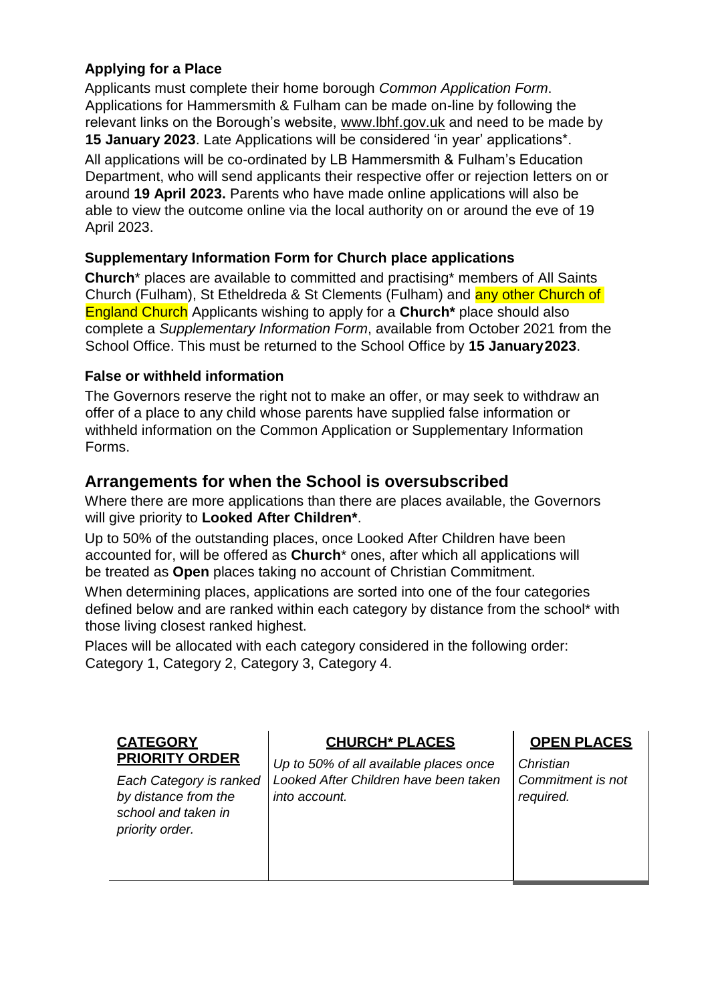#### **Applying for a Place**

Applicants must complete their home borough *Common Application Form*. Applications for Hammersmith & Fulham can be made on-line by following the relevant links on the Borough's website, [www.lbhf.gov.uk](http://www.lbhf.gov.uk/) and need to be made by **15 January 2023**. Late Applications will be considered 'in year' applications\*.

around 19 April 2023. Parents who have made online applications will also be All applications will be co-ordinated by LB Hammersmith & Fulham's Education Department, who will send applicants their respective offer or rejection letters on or able to view the outcome online via the local authority on or around the eve of 19 April 2023.

#### **Supplementary Information Form for Church place applications**

**Church**\* places are available to committed and practising\* members of All Saints Church (Fulham), St Etheldreda & St Clements (Fulham) and any other Church of England Church Applicants wishing to apply for a **Church\*** place should also complete a *Supplementary Information Form*, available from October 2021 from the School Office. This must be returned to the School Office by **15 January2023**.

#### **False or withheld information**

The Governors reserve the right not to make an offer, or may seek to withdraw an offer of a place to any child whose parents have supplied false information or withheld information on the Common Application or Supplementary Information Forms.

### **Arrangements for when the School is oversubscribed**

Where there are more applications than there are places available, the Governors will give priority to **Looked After Children\***.

Up to 50% of the outstanding places, once Looked After Children have been accounted for, will be offered as **Church**\* ones, after which all applications will be treated as **Open** places taking no account of Christian Commitment.

When determining places, applications are sorted into one of the four categories defined below and are ranked within each category by distance from the school\* with those living closest ranked highest.

Places will be allocated with each category considered in the following order: Category 1, Category 2, Category 3, Category 4.

| <b>CATEGORY</b><br><b>PRIORITY ORDER</b><br>Each Category is ranked<br>by distance from the<br>school and taken in<br>priority order. | <b>CHURCH* PLACES</b><br>Up to 50% of all available places once<br>Looked After Children have been taken<br>into account. | <b>OPEN PLACES</b><br>Christian<br>Commitment is not<br>required. |
|---------------------------------------------------------------------------------------------------------------------------------------|---------------------------------------------------------------------------------------------------------------------------|-------------------------------------------------------------------|
|                                                                                                                                       |                                                                                                                           |                                                                   |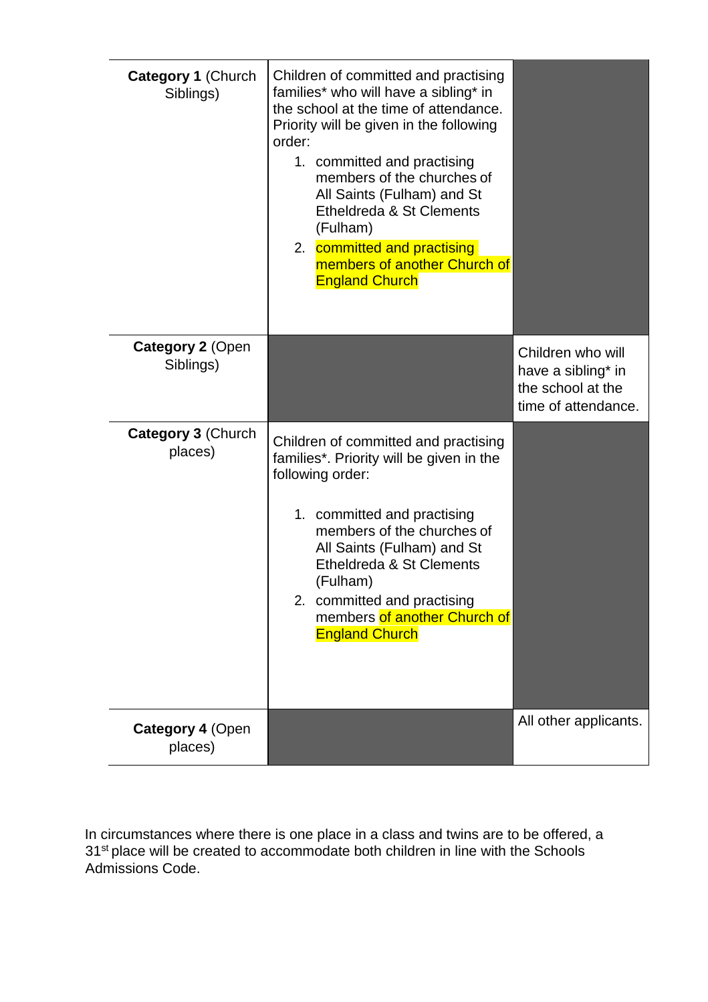| <b>Category 1 (Church</b><br>Siblings) | Children of committed and practising<br>families* who will have a sibling* in<br>the school at the time of attendance.<br>Priority will be given in the following<br>order:<br>1. committed and practising<br>members of the churches of<br>All Saints (Fulham) and St<br>Etheldreda & St Clements<br>(Fulham)<br>2. committed and practising<br>members of another Church of<br><b>England Church</b> |                                                                                     |
|----------------------------------------|--------------------------------------------------------------------------------------------------------------------------------------------------------------------------------------------------------------------------------------------------------------------------------------------------------------------------------------------------------------------------------------------------------|-------------------------------------------------------------------------------------|
| <b>Category 2 (Open</b><br>Siblings)   |                                                                                                                                                                                                                                                                                                                                                                                                        | Children who will<br>have a sibling* in<br>the school at the<br>time of attendance. |
| <b>Category 3 (Church</b><br>places)   | Children of committed and practising<br>families*. Priority will be given in the<br>following order:<br>1. committed and practising<br>members of the churches of<br>All Saints (Fulham) and St<br>Etheldreda & St Clements<br>(Fulham)<br>committed and practising<br>2.<br>members of another Church of<br><b>England Church</b>                                                                     |                                                                                     |
| <b>Category 4 (Open</b><br>places)     |                                                                                                                                                                                                                                                                                                                                                                                                        | All other applicants.                                                               |

In circumstances where there is one place in a class and twins are to be offered, a 31<sup>st</sup> place will be created to accommodate both children in line with the Schools Admissions Code.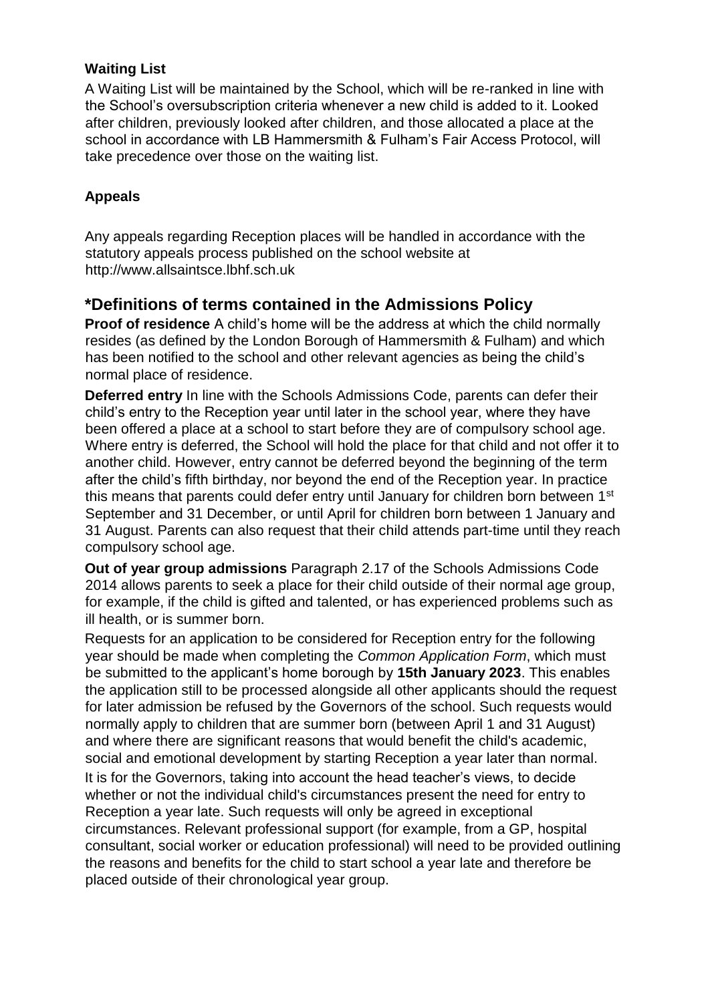#### **Waiting List**

A Waiting List will be maintained by the School, which will be re-ranked in line with the School's oversubscription criteria whenever a new child is added to it. Looked after children, previously looked after children, and those allocated a place at the school in accordance with LB Hammersmith & Fulham's Fair Access Protocol, will take precedence over those on the waiting list.

#### **Appeals**

Any appeals regarding Reception places will be handled in accordance with the statutory appeals process published on the school website at [http://www.allsaintsce.lbhf.sch.uk](http://www.allsaintsce.lbhf.sch.uk/)

## **\*Definitions of terms contained in the Admissions Policy**

**Proof of residence** A child's home will be the address at which the child normally resides (as defined by the London Borough of Hammersmith & Fulham) and which has been notified to the school and other relevant agencies as being the child's normal place of residence.

**Deferred entry** In line with the Schools Admissions Code, parents can defer their child's entry to the Reception year until later in the school year, where they have been offered a place at a school to start before they are of compulsory school age. Where entry is deferred, the School will hold the place for that child and not offer it to another child. However, entry cannot be deferred beyond the beginning of the term after the child's fifth birthday, nor beyond the end of the Reception year. In practice this means that parents could defer entry until January for children born between 1<sup>st</sup> September and 31 December, or until April for children born between 1 January and 31 August. Parents can also request that their child attends part-time until they reach compulsory school age.

**Out of year group admissions** Paragraph 2.17 of the Schools Admissions Code 2014 allows parents to seek a place for their child outside of their normal age group, for example, if the child is gifted and talented, or has experienced problems such as ill health, or is summer born.

Requests for an application to be considered for Reception entry for the following year should be made when completing the *Common Application Form*, which must be submitted to the applicant's home borough by **15th January 2023**. This enables the application still to be processed alongside all other applicants should the request for later admission be refused by the Governors of the school. Such requests would normally apply to children that are summer born (between April 1 and 31 August) and where there are significant reasons that would benefit the child's academic, social and emotional development by starting Reception a year later than normal. It is for the Governors, taking into account the head teacher's views, to decide whether or not the individual child's circumstances present the need for entry to Reception a year late. Such requests will only be agreed in exceptional circumstances. Relevant professional support (for example, from a GP, hospital consultant, social worker or education professional) will need to be provided outlining the reasons and benefits for the child to start school a year late and therefore be placed outside of their chronological year group.